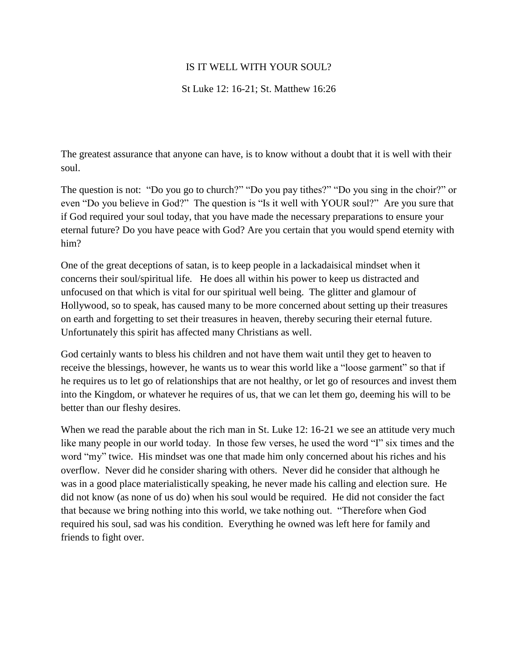# IS IT WELL WITH YOUR SOUL?

# St Luke 12: 16-21; St. Matthew 16:26

The greatest assurance that anyone can have, is to know without a doubt that it is well with their soul.

The question is not: "Do you go to church?" "Do you pay tithes?" "Do you sing in the choir?" or even "Do you believe in God?" The question is "Is it well with YOUR soul?" Are you sure that if God required your soul today, that you have made the necessary preparations to ensure your eternal future? Do you have peace with God? Are you certain that you would spend eternity with him?

One of the great deceptions of satan, is to keep people in a lackadaisical mindset when it concerns their soul/spiritual life. He does all within his power to keep us distracted and unfocused on that which is vital for our spiritual well being. The glitter and glamour of Hollywood, so to speak, has caused many to be more concerned about setting up their treasures on earth and forgetting to set their treasures in heaven, thereby securing their eternal future. Unfortunately this spirit has affected many Christians as well.

God certainly wants to bless his children and not have them wait until they get to heaven to receive the blessings, however, he wants us to wear this world like a "loose garment" so that if he requires us to let go of relationships that are not healthy, or let go of resources and invest them into the Kingdom, or whatever he requires of us, that we can let them go, deeming his will to be better than our fleshy desires.

When we read the parable about the rich man in St. Luke 12: 16-21 we see an attitude very much like many people in our world today. In those few verses, he used the word "I" six times and the word "my" twice. His mindset was one that made him only concerned about his riches and his overflow. Never did he consider sharing with others. Never did he consider that although he was in a good place materialistically speaking, he never made his calling and election sure. He did not know (as none of us do) when his soul would be required. He did not consider the fact that because we bring nothing into this world, we take nothing out. "Therefore when God required his soul, sad was his condition. Everything he owned was left here for family and friends to fight over.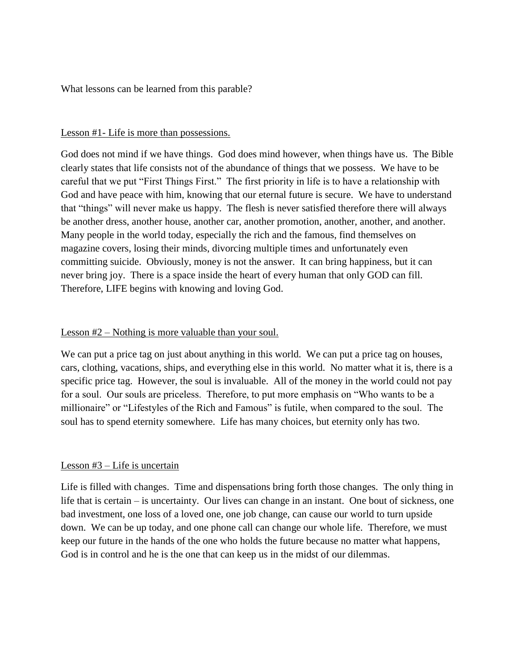What lessons can be learned from this parable?

### Lesson #1- Life is more than possessions.

God does not mind if we have things. God does mind however, when things have us. The Bible clearly states that life consists not of the abundance of things that we possess. We have to be careful that we put "First Things First." The first priority in life is to have a relationship with God and have peace with him, knowing that our eternal future is secure. We have to understand that "things" will never make us happy. The flesh is never satisfied therefore there will always be another dress, another house, another car, another promotion, another, another, and another. Many people in the world today, especially the rich and the famous, find themselves on magazine covers, losing their minds, divorcing multiple times and unfortunately even committing suicide. Obviously, money is not the answer. It can bring happiness, but it can never bring joy. There is a space inside the heart of every human that only GOD can fill. Therefore, LIFE begins with knowing and loving God.

### Lesson #2 – Nothing is more valuable than your soul.

We can put a price tag on just about anything in this world. We can put a price tag on houses, cars, clothing, vacations, ships, and everything else in this world. No matter what it is, there is a specific price tag. However, the soul is invaluable. All of the money in the world could not pay for a soul. Our souls are priceless. Therefore, to put more emphasis on "Who wants to be a millionaire" or "Lifestyles of the Rich and Famous" is futile, when compared to the soul. The soul has to spend eternity somewhere. Life has many choices, but eternity only has two.

#### Lesson #3 – Life is uncertain

Life is filled with changes. Time and dispensations bring forth those changes. The only thing in life that is certain – is uncertainty. Our lives can change in an instant. One bout of sickness, one bad investment, one loss of a loved one, one job change, can cause our world to turn upside down. We can be up today, and one phone call can change our whole life. Therefore, we must keep our future in the hands of the one who holds the future because no matter what happens, God is in control and he is the one that can keep us in the midst of our dilemmas.